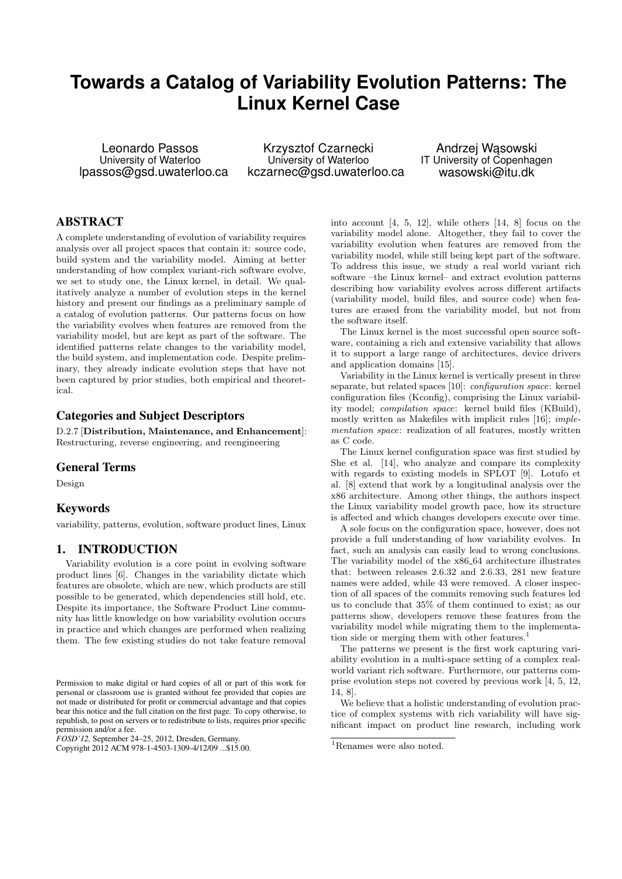# **Towards a Catalog of Variability Evolution Patterns: The Linux Kernel Case**

Leonardo Passos University of Waterloo lpassos@gsd.uwaterloo.ca

Krzysztof Czarnecki University of Waterloo kczarnec@gsd.uwaterloo.ca

Andrzej Wasowski IT University of Copenhagen wasowski@itu.dk

# ABSTRACT

A complete understanding of evolution of variability requires analysis over all project spaces that contain it: source code, build system and the variability model. Aiming at better understanding of how complex variant-rich software evolve, we set to study one, the Linux kernel, in detail. We qualitatively analyze a number of evolution steps in the kernel history and present our findings as a preliminary sample of a catalog of evolution patterns. Our patterns focus on how the variability evolves when features are removed from the variability model, but are kept as part of the software. The identified patterns relate changes to the variability model, the build system, and implementation code. Despite preliminary, they already indicate evolution steps that have not been captured by prior studies, both empirical and theoretical.

# Categories and Subject Descriptors

D.2.7 [Distribution, Maintenance, and Enhancement]: Restructuring, reverse engineering, and reengineering

# General Terms

Design

### Keywords

variability, patterns, evolution, software product lines, Linux

# 1. INTRODUCTION

Variability evolution is a core point in evolving software product lines [6]. Changes in the variability dictate which features are obsolete, which are new, which products are still possible to be generated, which dependencies still hold, etc. Despite its importance, the Software Product Line community has little knowledge on how variability evolution occurs in practice and which changes are performed when realizing them. The few existing studies do not take feature removal

*FOSD'12,* September 24–25, 2012, Dresden, Germany.

into account [4, 5, 12], while others [14, 8] focus on the variability model alone. Altogether, they fail to cover the variability evolution when features are removed from the variability model, while still being kept part of the software. To address this issue, we study a real world variant rich software –the Linux kernel– and extract evolution patterns describing how variability evolves across different artifacts (variability model, build files, and source code) when features are erased from the variability model, but not from the software itself.

The Linux kernel is the most successful open source software, containing a rich and extensive variability that allows it to support a large range of architectures, device drivers and application domains [15].

Variability in the Linux kernel is vertically present in three separate, but related spaces [10]: configuration space: kernel configuration files (Kconfig), comprising the Linux variability model; compilation space: kernel build files (KBuild), mostly written as Makefiles with implicit rules [16]; implementation space: realization of all features, mostly written as C code.

The Linux kernel configuration space was first studied by She et al. [14], who analyze and compare its complexity with regards to existing models in SPLOT [9]. Lotufo et al. [8] extend that work by a longitudinal analysis over the x86 architecture. Among other things, the authors inspect the Linux variability model growth pace, how its structure is affected and which changes developers execute over time.

A sole focus on the configuration space, however, does not provide a full understanding of how variability evolves. In fact, such an analysis can easily lead to wrong conclusions. The variability model of the  $x86-64$  architecture illustrates that: between releases 2.6.32 and 2.6.33, 281 new feature names were added, while 43 were removed. A closer inspection of all spaces of the commits removing such features led us to conclude that 35% of them continued to exist; as our patterns show, developers remove these features from the variability model while migrating them to the implementation side or merging them with other features.<sup>1</sup>

The patterns we present is the first work capturing variability evolution in a multi-space setting of a complex realworld variant rich software. Furthermore, our patterns comprise evolution steps not covered by previous work [4, 5, 12, 14, 8].

We believe that a holistic understanding of evolution practice of complex systems with rich variability will have significant impact on product line research, including work

Permission to make digital or hard copies of all or part of this work for personal or classroom use is granted without fee provided that copies are not made or distributed for profit or commercial advantage and that copies bear this notice and the full citation on the first page. To copy otherwise, to republish, to post on servers or to redistribute to lists, requires prior specific permission and/or a fee.

Copyright 2012 ACM 978-1-4503-1309-4/12/09 ...\$15.00.

<sup>&</sup>lt;sup>1</sup>Renames were also noted.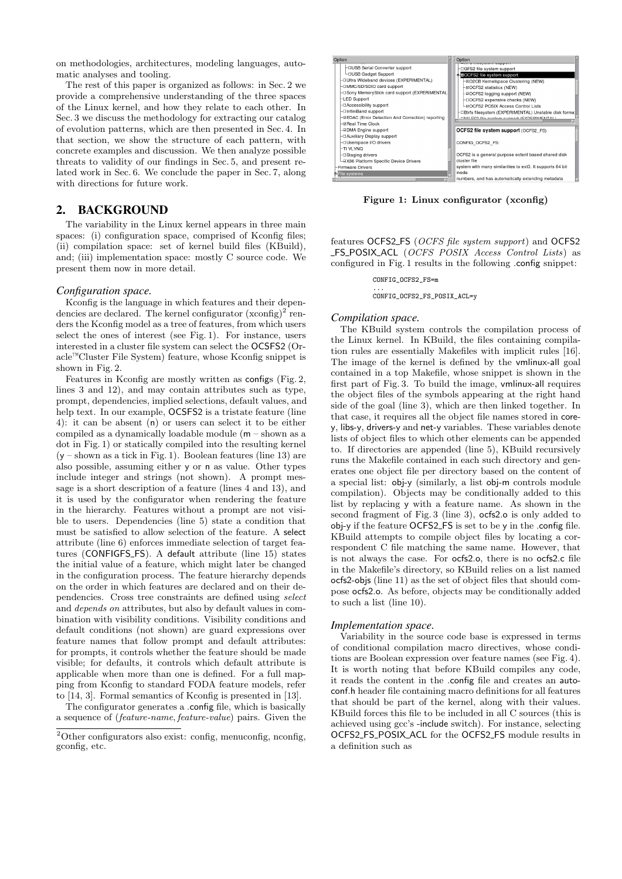on methodologies, architectures, modeling languages, automatic analyses and tooling.

The rest of this paper is organized as follows: in Sec. 2 we provide a comprehensive understanding of the three spaces of the Linux kernel, and how they relate to each other. In Sec. 3 we discuss the methodology for extracting our catalog of evolution patterns, which are then presented in Sec. 4. In that section, we show the structure of each pattern, with concrete examples and discussion. We then analyze possible threats to validity of our findings in Sec. 5, and present related work in Sec. 6. We conclude the paper in Sec. 7, along with directions for future work.

# 2. BACKGROUND

The variability in the Linux kernel appears in three main spaces: (i) configuration space, comprised of Kconfig files; (ii) compilation space: set of kernel build files (KBuild), and; (iii) implementation space: mostly C source code. We present them now in more detail.

### *Configuration space.*

Kconfig is the language in which features and their dependencies are declared. The kernel configurator  $(x\text{config})^2$  renders the Kconfig model as a tree of features, from which users select the ones of interest (see Fig. 1). For instance, users interested in a cluster file system can select the OCSFS2 (Oracle™Cluster File System) feature, whose Kconfig snippet is shown in Fig. 2.

Features in Kconfig are mostly written as configs (Fig. 2, lines 3 and 12), and may contain attributes such as type, prompt, dependencies, implied selections, default values, and help text. In our example, OCSFS2 is a tristate feature (line 4): it can be absent (n) or users can select it to be either compiled as a dynamically loadable module (m – shown as a dot in Fig. 1) or statically compiled into the resulting kernel  $(y -$ shown as a tick in Fig. 1). Boolean features (line 13) are also possible, assuming either y or n as value. Other types include integer and strings (not shown). A prompt message is a short description of a feature (lines 4 and 13), and it is used by the configurator when rendering the feature in the hierarchy. Features without a prompt are not visible to users. Dependencies (line 5) state a condition that must be satisfied to allow selection of the feature. A select attribute (line 6) enforces immediate selection of target features (CONFIGFS\_FS). A default attribute (line 15) states the initial value of a feature, which might later be changed in the configuration process. The feature hierarchy depends on the order in which features are declared and on their dependencies. Cross tree constraints are defined using select and depends on attributes, but also by default values in combination with visibility conditions. Visibility conditions and default conditions (not shown) are guard expressions over feature names that follow prompt and default attributes: for prompts, it controls whether the feature should be made visible; for defaults, it controls which default attribute is applicable when more than one is defined. For a full mapping from Kconfig to standard FODA feature models, refer to [14, 3]. Formal semantics of Kconfig is presented in [13].

The configurator generates a .config file, which is basically a sequence of (feature-name, feature-value) pairs. Given the



Figure 1: Linux configurator (xconfig)

features OCFS2 FS (OCFS file system support) and OCFS2 FS POSIX ACL (OCFS POSIX Access Control Lists) as configured in Fig. 1 results in the following .config snippet:

CONFIG\_OCFS2\_FS=m

... CONFIG\_OCFS2\_FS\_POSIX\_ACL=y

#### *Compilation space.*

The KBuild system controls the compilation process of the Linux kernel. In KBuild, the files containing compilation rules are essentially Makefiles with implicit rules [16]. The image of the kernel is defined by the vmlinux-all goal contained in a top Makefile, whose snippet is shown in the first part of Fig.  $3$ . To build the image, vmlinux-all requires the object files of the symbols appearing at the right hand side of the goal (line 3), which are then linked together. In that case, it requires all the object file names stored in corey, libs-y, drivers-y and net-y variables. These variables denote lists of object files to which other elements can be appended to. If directories are appended (line 5), KBuild recursively runs the Makefile contained in each such directory and generates one object file per directory based on the content of a special list: obj-y (similarly, a list obj-m controls module compilation). Objects may be conditionally added to this list by replacing y with a feature name. As shown in the second fragment of Fig. 3 (line 3), ocfs2.o is only added to obj-y if the feature OCFS2 FS is set to be y in the .config file. KBuild attempts to compile object files by locating a correspondent C file matching the same name. However, that is not always the case. For ocfs2.o, there is no ocfs2.c file in the Makefile's directory, so KBuild relies on a list named ocfs2-objs (line 11) as the set of object files that should compose ocfs2.o. As before, objects may be conditionally added to such a list (line 10).

#### *Implementation space.*

Variability in the source code base is expressed in terms of conditional compilation macro directives, whose conditions are Boolean expression over feature names (see Fig. 4). It is worth noting that before KBuild compiles any code, it reads the content in the .config file and creates an autoconf.h header file containing macro definitions for all features that should be part of the kernel, along with their values. KBuild forces this file to be included in all C sources (this is achieved using gcc's -include switch). For instance, selecting OCFS2 FS POSIX ACL for the OCFS2 FS module results in a definition such as

 $2$ Other configurators also exist: config, menuconfig, nconfig, gconfig, etc.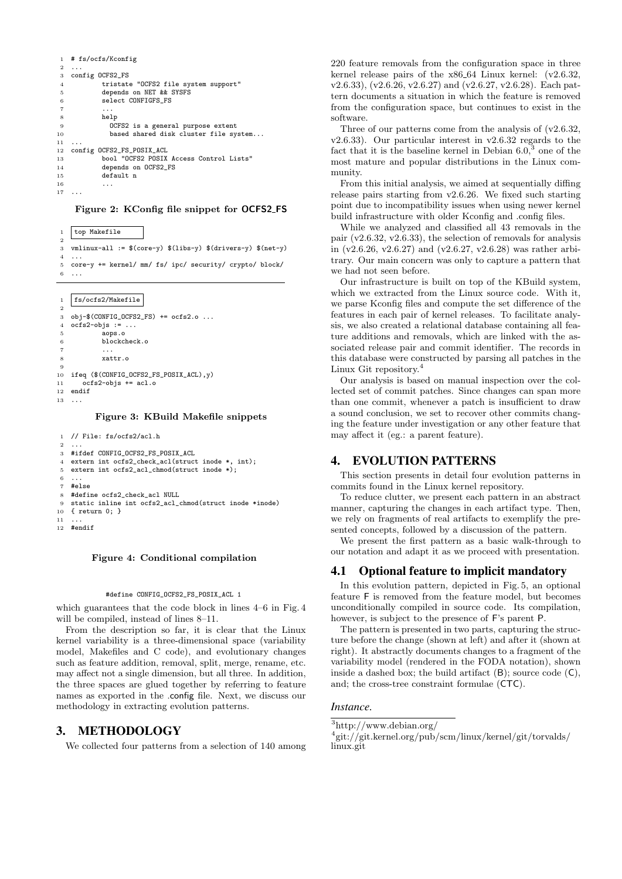| $\mathbf{1}$   | # fs/ocfs/Kconfig                       |  |  |  |  |  |  |
|----------------|-----------------------------------------|--|--|--|--|--|--|
| $\overline{2}$ | .                                       |  |  |  |  |  |  |
| 3              | config OCFS2_FS                         |  |  |  |  |  |  |
| $\overline{4}$ | tristate "OCFS2 file system support"    |  |  |  |  |  |  |
| 5              | depends on NET && SYSFS                 |  |  |  |  |  |  |
| 6              | select CONFIGFS FS                      |  |  |  |  |  |  |
| $\overline{7}$ | .                                       |  |  |  |  |  |  |
| 8              | help                                    |  |  |  |  |  |  |
| 9              | OCFS2 is a general purpose extent       |  |  |  |  |  |  |
| 10             | based shared disk cluster file system   |  |  |  |  |  |  |
| 11             | .                                       |  |  |  |  |  |  |
| $12\,$         | config OCFS2_FS_POSIX_ACL               |  |  |  |  |  |  |
| 13             | bool "OCFS2 POSIX Access Control Lists" |  |  |  |  |  |  |
| 14             | depends on OCFS2_FS                     |  |  |  |  |  |  |
| 15             | default n                               |  |  |  |  |  |  |
| 16             | .                                       |  |  |  |  |  |  |
| 17             |                                         |  |  |  |  |  |  |
|                |                                         |  |  |  |  |  |  |

#### Figure 2: KConfig file snippet for OCFS2 FS

1 top Makefile  $\overline{2}$ 3 vmlinux-all := \$(core-y) \$(libs-y) \$(drivers-y) \$(net-y) <sup>4</sup> 5 core-y += kernel/ mm/ fs/ ipc/ security/ crypto/ block/ 6 ...

1 fs/ocfs2/Makefile

```
\overline{2}3 obj-$(CONFIG OCFS2 FS) += ocfs2.o ...
   ocfs2-objs := \ldotsaops.o
 6 blockcheck.o
 7 ...
 8 xattr.o
 9
10 ifeq ((CONFIG_OCFS2_FS_POSIX_ACL), y)<br>11 ocfs2-obis t = ac1.0ocfs2-objs += acl.o12 endif
13
```
#### Figure 3: KBuild Makefile snippets

```
1 // File: fs/ocfs2/acl.h
 <sup>2</sup>
 3 #ifdef CONFIG_OCFS2_FS_POSIX_ACL
 4 extern int ocfs2_check_acl(struct inode *, int);
 5 extern int ocfs2 acl chmod(struct inode *);
 6 ...
    7 #else
    #define ocfs2_check_acl NULL
9 static inline int ocfs2_acl_chmod(struct inode *inode)<br>10 { return 0: }
    \{ return 0: \}\frac{11}{12}...<br>#endif
```
#### Figure 4: Conditional compilation

#### #define CONFIG OCFS2 FS POSIX ACL 1

which guarantees that the code block in lines 4–6 in Fig. 4 will be compiled, instead of lines 8–11.

From the description so far, it is clear that the Linux kernel variability is a three-dimensional space (variability model, Makefiles and C code), and evolutionary changes such as feature addition, removal, split, merge, rename, etc. may affect not a single dimension, but all three. In addition, the three spaces are glued together by referring to feature names as exported in the .config file. Next, we discuss our methodology in extracting evolution patterns.

### 3. METHODOLOGY

We collected four patterns from a selection of 140 among

220 feature removals from the configuration space in three kernel release pairs of the x86\_64 Linux kernel: (v2.6.32, v2.6.33), (v2.6.26, v2.6.27) and (v2.6.27, v2.6.28). Each pattern documents a situation in which the feature is removed from the configuration space, but continues to exist in the software.

Three of our patterns come from the analysis of (v2.6.32, v2.6.33). Our particular interest in v2.6.32 regards to the fact that it is the baseline kernel in Debian  $6.0<sup>3</sup>$  one of the most mature and popular distributions in the Linux community.

From this initial analysis, we aimed at sequentially diffing release pairs starting from v2.6.26. We fixed such starting point due to incompatibility issues when using newer kernel build infrastructure with older Kconfig and .config files.

While we analyzed and classified all 43 removals in the pair (v2.6.32, v2.6.33), the selection of removals for analysis in (v2.6.26, v2.6.27) and (v2.6.27, v2.6.28) was rather arbitrary. Our main concern was only to capture a pattern that we had not seen before.

Our infrastructure is built on top of the KBuild system, which we extracted from the Linux source code. With it, we parse Kconfig files and compute the set difference of the features in each pair of kernel releases. To facilitate analysis, we also created a relational database containing all feature additions and removals, which are linked with the associated release pair and commit identifier. The records in this database were constructed by parsing all patches in the Linux Git repository.

Our analysis is based on manual inspection over the collected set of commit patches. Since changes can span more than one commit, whenever a patch is insufficient to draw a sound conclusion, we set to recover other commits changing the feature under investigation or any other feature that may affect it (eg.: a parent feature).

# 4. EVOLUTION PATTERNS

This section presents in detail four evolution patterns in commits found in the Linux kernel repository.

To reduce clutter, we present each pattern in an abstract manner, capturing the changes in each artifact type. Then, we rely on fragments of real artifacts to exemplify the presented concepts, followed by a discussion of the pattern.

We present the first pattern as a basic walk-through to our notation and adapt it as we proceed with presentation.

### 4.1 Optional feature to implicit mandatory

In this evolution pattern, depicted in Fig. 5, an optional feature F is removed from the feature model, but becomes unconditionally compiled in source code. Its compilation, however, is subject to the presence of F's parent P.

The pattern is presented in two parts, capturing the structure before the change (shown at left) and after it (shown at right). It abstractly documents changes to a fragment of the variability model (rendered in the FODA notation), shown inside a dashed box; the build artifact  $(B)$ ; source code  $(C)$ , and; the cross-tree constraint formulae (CTC).

### *Instance.*

 $3$ http://www.debian.org/

<sup>4</sup> git://git.kernel.org/pub/scm/linux/kernel/git/torvalds/ linux.git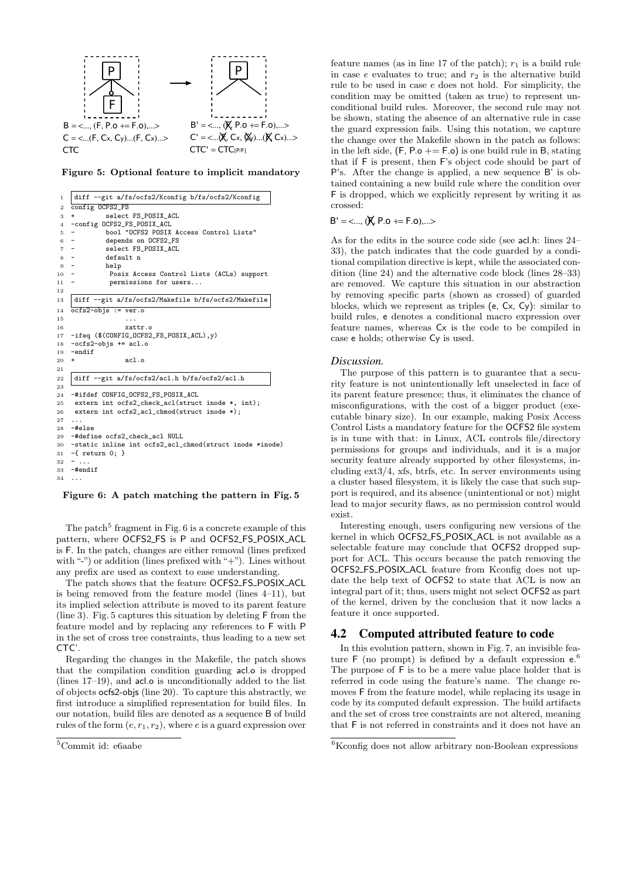

Figure 5: Optional feature to implicit mandatory

| 1              | diff --git a/fs/ocfs2/Kconfig b/fs/ocfs2/Kconfig                      |
|----------------|-----------------------------------------------------------------------|
| $\overline{2}$ | config OCFS2_FS                                                       |
| 3              | select FS_POSIX_ACL<br>$\ddot{}$                                      |
| $\overline{4}$ | -config OCFS2_FS_POSIX_ACL                                            |
| 5              | bool "OCFS2 POSIX Access Control Lists"<br>-                          |
| 6              | depends on OCFS2_FS                                                   |
| $\overline{7}$ | select FS_POSIX_ACL<br>$-$                                            |
| 8              | default n<br>$\overline{\phantom{a}}$                                 |
| 9              | help<br>$\overline{\phantom{a}}$                                      |
| 10             | Posix Access Control Lists (ACLs) support<br>$\overline{\phantom{a}}$ |
| 11             | permissions for users                                                 |
| 12             |                                                                       |
| 13             | diff --git a/fs/ocfs2/Makefile b/fs/ocfs2/Makefile                    |
| 14             | $ocfs2-objs := ver.o$                                                 |
| 15             |                                                                       |
| 16             | xattr.o                                                               |
| 17             | -ifeq (\$(CONFIG_OCFS2_FS_POSIX_ACL), y)                              |
| 18             | $-ocfs2-objs += acl.o$                                                |
| 19             | $-$ endif                                                             |
| 20             | ac1.o<br>+                                                            |
| $^{21}$        |                                                                       |
| 22             | diff --git a/fs/ocfs2/acl.h b/fs/ocfs2/acl.h                          |
| 23             |                                                                       |
| 24             | -#ifdef CONFIG OCFS2 FS POSIX ACL                                     |
| 25             | extern int ocfs2_check_acl(struct inode *, int);                      |
| 26             | extern int ocfs2_acl_chmod(struct inode *);                           |
| 27             | .                                                                     |
| 28             | $-#$ else                                                             |
| 29             | -#define ocfs2_check_acl NULL                                         |
| 30             | -static inline int ocfs2_acl_chmod(struct inode *inode)               |
| 31             | $-f$ return $0;$ }                                                    |
| 32             | $-$                                                                   |
| 33             | $-$ #endif                                                            |
| 34             | $\ddots$                                                              |
|                |                                                                       |

Figure 6: A patch matching the pattern in Fig. 5

The patch<sup>5</sup> fragment in Fig.  $6$  is a concrete example of this pattern, where OCFS2 FS is P and OCFS2 FS POSIX ACL is F. In the patch, changes are either removal (lines prefixed with "-") or addition (lines prefixed with "+"). Lines without any prefix are used as context to ease understanding.

The patch shows that the feature OCFS2 FS POSIX ACL is being removed from the feature model (lines 4–11), but its implied selection attribute is moved to its parent feature (line 3). Fig. 5 captures this situation by deleting F from the feature model and by replacing any references to F with P in the set of cross tree constraints, thus leading to a new set  $CTC'$ 

Regarding the changes in the Makefile, the patch shows that the compilation condition guarding acl.o is dropped (lines 17–19), and acl.o is unconditionally added to the list of objects ocfs2-objs (line 20). To capture this abstractly, we first introduce a simplified representation for build files. In our notation, build files are denoted as a sequence B of build rules of the form  $(e, r_1, r_2)$ , where e is a guard expression over

feature names (as in line 17 of the patch);  $r_1$  is a build rule in case  $e$  evaluates to true; and  $r_2$  is the alternative build rule to be used in case e does not hold. For simplicity, the condition may be omitted (taken as true) to represent unconditional build rules. Moreover, the second rule may not be shown, stating the absence of an alternative rule in case the guard expression fails. Using this notation, we capture the change over the Makefile shown in the patch as follows: in the left side,  $(F, Po += F.o)$  is one build rule in B, stating that if F is present, then F's object code should be part of P's. After the change is applied, a new sequence B' is obtained containing a new build rule where the condition over F is dropped, which we explicitly represent by writing it as crossed:

$$
B' = \langle ..., (\cancel{K}, P.o + = F.o), ... \rangle
$$

As for the edits in the source code side (see acl.h: lines 24– 33), the patch indicates that the code guarded by a conditional compilation directive is kept, while the associated condition (line 24) and the alternative code block (lines 28–33) are removed. We capture this situation in our abstraction by removing specific parts (shown as crossed) of guarded blocks, which we represent as triples (e, Cx, Cy): similar to build rules, e denotes a conditional macro expression over feature names, whereas Cx is the code to be compiled in case e holds; otherwise Cy is used.

#### *Discussion.*

The purpose of this pattern is to guarantee that a security feature is not unintentionally left unselected in face of its parent feature presence; thus, it eliminates the chance of misconfigurations, with the cost of a bigger product (executable binary size). In our example, making Posix Access Control Lists a mandatory feature for the OCFS2 file system is in tune with that: in Linux, ACL controls file/directory permissions for groups and individuals, and it is a major security feature already supported by other filesystems, including ext3/4, xfs, btrfs, etc. In server environments using a cluster based filesystem, it is likely the case that such support is required, and its absence (unintentional or not) might lead to major security flaws, as no permission control would exist.

Interesting enough, users configuring new versions of the kernel in which OCFS2 FS POSIX ACL is not available as a selectable feature may conclude that OCFS2 dropped support for ACL. This occurs because the patch removing the OCFS2 FS POSIX ACL feature from Kconfig does not update the help text of OCFS2 to state that ACL is now an integral part of it; thus, users might not select OCFS2 as part of the kernel, driven by the conclusion that it now lacks a feature it once supported.

### 4.2 Computed attributed feature to code

In this evolution pattern, shown in Fig. 7, an invisible feature  $\mathsf F$  (no prompt) is defined by a default expression  $e^{\theta}$ . The purpose of F is to be a mere value place holder that is referred in code using the feature's name. The change removes F from the feature model, while replacing its usage in code by its computed default expression. The build artifacts and the set of cross tree constraints are not altered, meaning that F is not referred in constraints and it does not have an

<sup>5</sup>Commit id: e6aabe

 ${}^{6}$ Kconfig does not allow arbitrary non-Boolean expressions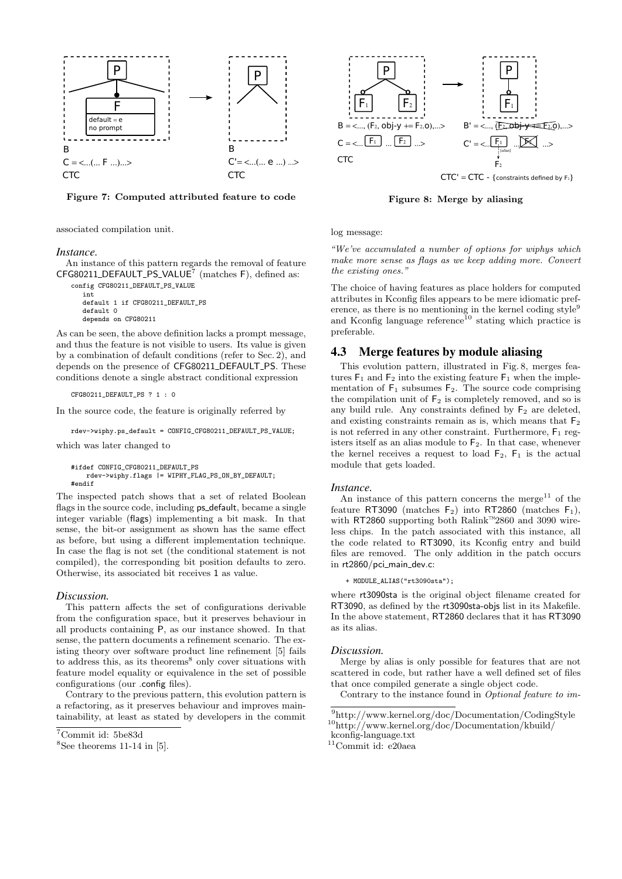

Figure 7: Computed attributed feature to code

associated compilation unit.

#### *Instance.*

An instance of this pattern regards the removal of feature  $CFG80211$ \_DEFAULT\_PS\_VALUE<sup>7</sup> (matches F), defined as:

config CFG80211\_DEFAULT\_PS\_VALUE int default 1 if CFG80211\_DEFAULT\_PS default 0 depends on CFG80211

As can be seen, the above definition lacks a prompt message, and thus the feature is not visible to users. Its value is given by a combination of default conditions (refer to Sec. 2), and depends on the presence of CFG80211\_DEFAULT\_PS. These conditions denote a single abstract conditional expression

CFG80211\_DEFAULT\_PS ? 1 : 0

In the source code, the feature is originally referred by

rdev->wiphy.ps\_default = CONFIG\_CFG80211\_DEFAULT\_PS\_VALUE;

which was later changed to

```
#ifdef CONFIG_CFG80211_DEFAULT_PS
   rdev->wiphy.flags |= WIPHY_FLAG_PS_ON_BY_DEFAULT;
#endif
```
The inspected patch shows that a set of related Boolean flags in the source code, including **ps\_default**, became a single integer variable (flags) implementing a bit mask. In that sense, the bit-or assignment as shown has the same effect as before, but using a different implementation technique. In case the flag is not set (the conditional statement is not compiled), the corresponding bit position defaults to zero. Otherwise, its associated bit receives 1 as value.

#### *Discussion.*

This pattern affects the set of configurations derivable from the configuration space, but it preserves behaviour in all products containing P, as our instance showed. In that sense, the pattern documents a refinement scenario. The existing theory over software product line refinement [5] fails to address this, as its theorems<sup>8</sup> only cover situations with feature model equality or equivalence in the set of possible configurations (our .config files).

Contrary to the previous pattern, this evolution pattern is a refactoring, as it preserves behaviour and improves maintainability, at least as stated by developers in the commit



 $CTC' = CTC - \{constraints \ defined by F<sub>2</sub>\}$ 

Figure 8: Merge by aliasing

log message:

"We've accumulated a number of options for wiphys which make more sense as flags as we keep adding more. Convert the existing ones."

The choice of having features as place holders for computed attributes in Kconfig files appears to be mere idiomatic preference, as there is no mentioning in the kernel coding style<sup>9</sup> and Kconfig language reference<sup>10</sup> stating which practice is preferable.

# 4.3 Merge features by module aliasing

This evolution pattern, illustrated in Fig. 8, merges features  $F_1$  and  $F_2$  into the existing feature  $F_1$  when the implementation of  $F_1$  subsumes  $F_2$ . The source code comprising the compilation unit of  $F_2$  is completely removed, and so is any build rule. Any constraints defined by  $F_2$  are deleted, and existing constraints remain as is, which means that  $F_2$ is not referred in any other constraint. Furthermore,  $F_1$  registers itself as an alias module to  $F_2$ . In that case, whenever the kernel receives a request to load  $F_2$ ,  $F_1$  is the actual module that gets loaded.

#### *Instance.*

An instance of this pattern concerns the merge<sup>11</sup> of the feature RT3090 (matches  $F_2$ ) into RT2860 (matches  $F_1$ ), with RT2860 supporting both Ralink™2860 and 3090 wireless chips. In the patch associated with this instance, all the code related to RT3090, its Kconfig entry and build files are removed. The only addition in the patch occurs in rt2860/pci\_main\_dev.c:

+ MODULE\_ALIAS("rt3090sta");

where rt3090sta is the original object filename created for RT3090, as defined by the rt3090sta-objs list in its Makefile. In the above statement, RT2860 declares that it has RT3090 as its alias.

#### *Discussion.*

Merge by alias is only possible for features that are not scattered in code, but rather have a well defined set of files that once compiled generate a single object code.

Contrary to the instance found in Optional feature to im-

 $\mbox{^{11}Commit}$ id: e20aea

<sup>7</sup>Commit id: 5be83d

 ${}^{8}$ See theorems 11-14 in [5].

 $\frac{9}{9}$ http://www.kernel.org/doc/Documentation/CodingStyle  $^{10}\mathrm{http://www.kernel.org/doc/Documentation/kbuild/}$ 

kconfig-language.txt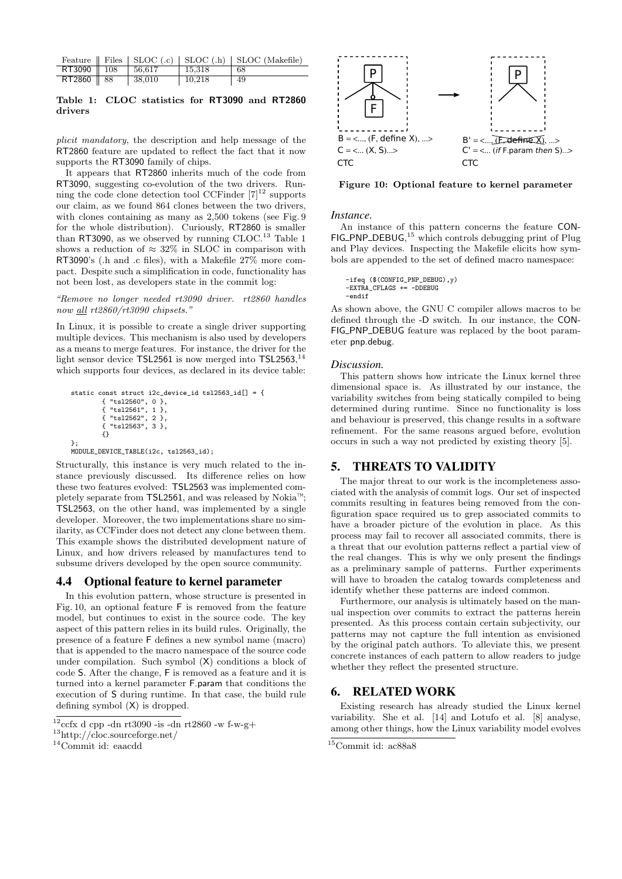|                                           |        |        | Feature $\parallel$ Files $\parallel$ SLOC (.c) $\parallel$ SLOC (.h) $\parallel$ SLOC (Makefile) |
|-------------------------------------------|--------|--------|---------------------------------------------------------------------------------------------------|
| RT3090 $\parallel$ 108 $\parallel$ 56,617 |        | 15.318 | -68                                                                                               |
| RT2860   88                               | 38,010 | 10.218 | -49                                                                                               |

### Table 1: CLOC statistics for RT3090 and RT2860 drivers

plicit mandatory, the description and help message of the RT2860 feature are updated to reflect the fact that it now supports the RT3090 family of chips.

It appears that RT2860 inherits much of the code from RT3090, suggesting co-evolution of the two drivers. Running the code clone detection tool CCFinder  $[7]^{12}$  supports our claim, as we found 864 clones between the two drivers, with clones containing as many as 2,500 tokens (see Fig. 9 for the whole distribution). Curiously, RT2860 is smaller than RT3090, as we observed by running  $\rm CLOC.^{\rm 13}$  Table 1 shows a reduction of  $\approx 32\%$  in SLOC in comparison with RT3090's (.h and .c files), with a Makefile 27% more compact. Despite such a simplification in code, functionality has not been lost, as developers state in the commit log:

#### "Remove no longer needed rt3090 driver. rt2860 handles now all rt2860/rt3090 chipsets."

In Linux, it is possible to create a single driver supporting multiple devices. This mechanism is also used by developers as a means to merge features. For instance, the driver for the light sensor device TSL2561 is now merged into TSL2563,<sup>14</sup> which supports four devices, as declared in its device table:

```
static const struct i2c_device_id tsl2563_id[] = {{ "tsl2560", 0 },
          { "tsl2561", 1 },
        { "tsl2562", 2 },
        { "tsl2563", 3 },
{}
};
```
MODULE\_DEVICE\_TABLE(i2c, tsl2563\_id);

Structurally, this instance is very much related to the instance previously discussed. Its difference relies on how these two features evolved: TSL2563 was implemented completely separate from TSL2561, and was released by Nokia™; TSL2563, on the other hand, was implemented by a single developer. Moreover, the two implementations share no similarity, as CCFinder does not detect any clone between them. This example shows the distributed development nature of Linux, and how drivers released by manufactures tend to subsume drivers developed by the open source community.

# 4.4 Optional feature to kernel parameter

In this evolution pattern, whose structure is presented in Fig. 10, an optional feature F is removed from the feature model, but continues to exist in the source code. The key aspect of this pattern relies in its build rules. Originally, the presence of a feature F defines a new symbol name (macro) that is appended to the macro namespace of the source code under compilation. Such symbol (X) conditions a block of code S. After the change, F is removed as a feature and it is turned into a kernel parameter F.param that conditions the execution of S during runtime. In that case, the build rule defining symbol (X) is dropped.



Figure 10: Optional feature to kernel parameter

### *Instance.*

An instance of this pattern concerns the feature CON- $FIG\_PNP\_DEBUG$ ,<sup>15</sup> which controls debugging print of Plug and Play devices. Inspecting the Makefile elicits how symbols are appended to the set of defined macro namespace:

```
-ifeq ($(CONFIG_PNP_DEBUG),y)
-EXTRA_CFLAGS += -DDEBUG
-endif
```
As shown above, the GNU C compiler allows macros to be defined through the -D switch. In our instance, the CON-FIG\_PNP\_DEBUG feature was replaced by the boot parameter pnp.debug.

### *Discussion.*

This pattern shows how intricate the Linux kernel three dimensional space is. As illustrated by our instance, the variability switches from being statically compiled to being determined during runtime. Since no functionality is loss and behaviour is preserved, this change results in a software refinement. For the same reasons argued before, evolution occurs in such a way not predicted by existing theory [5].

# 5. THREATS TO VALIDITY

The major threat to our work is the incompleteness associated with the analysis of commit logs. Our set of inspected commits resulting in features being removed from the configuration space required us to grep associated commits to have a broader picture of the evolution in place. As this process may fail to recover all associated commits, there is a threat that our evolution patterns reflect a partial view of the real changes. This is why we only present the findings as a preliminary sample of patterns. Further experiments will have to broaden the catalog towards completeness and identify whether these patterns are indeed common.

Furthermore, our analysis is ultimately based on the manual inspection over commits to extract the patterns herein presented. As this process contain certain subjectivity, our patterns may not capture the full intention as envisioned by the original patch authors. To alleviate this, we present concrete instances of each pattern to allow readers to judge whether they reflect the presented structure.

# 6. RELATED WORK

Existing research has already studied the Linux kernel variability. She et al. [14] and Lotufo et al. [8] analyse, among other things, how the Linux variability model evolves

 $12$ ccfx d cpp -dn rt3090 -is -dn rt2860 -w f-w-g+

<sup>13</sup>http://cloc.sourceforge.net/

<sup>14</sup>Commit id: eaacdd

<sup>15</sup>Commit id: ac88a8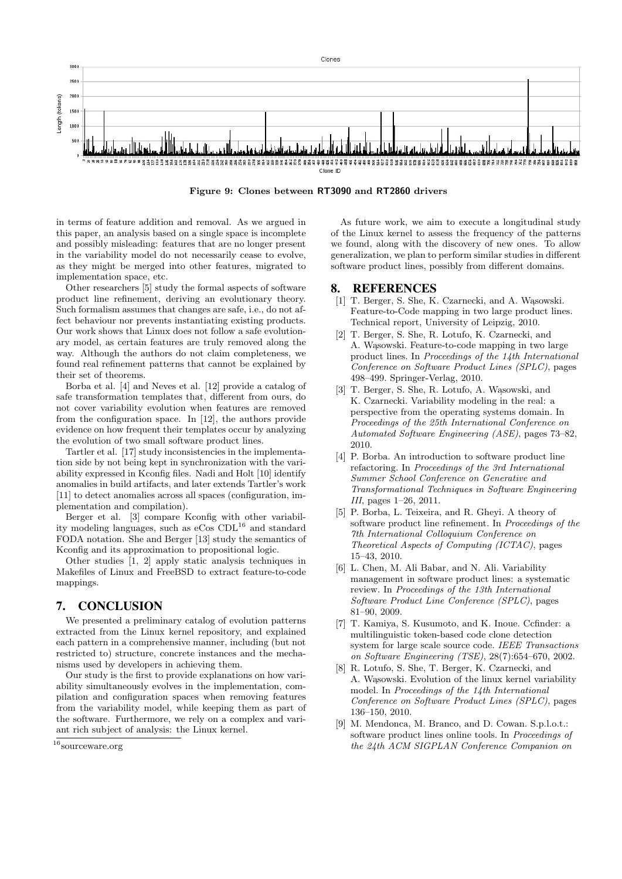

Figure 9: Clones between RT3090 and RT2860 drivers

in terms of feature addition and removal. As we argued in this paper, an analysis based on a single space is incomplete and possibly misleading: features that are no longer present in the variability model do not necessarily cease to evolve, as they might be merged into other features, migrated to implementation space, etc.

Other researchers [5] study the formal aspects of software product line refinement, deriving an evolutionary theory. Such formalism assumes that changes are safe, i.e., do not affect behaviour nor prevents instantiating existing products. Our work shows that Linux does not follow a safe evolutionary model, as certain features are truly removed along the way. Although the authors do not claim completeness, we found real refinement patterns that cannot be explained by their set of theorems.

Borba et al. [4] and Neves et al. [12] provide a catalog of safe transformation templates that, different from ours, do not cover variability evolution when features are removed from the configuration space. In [12], the authors provide evidence on how frequent their templates occur by analyzing the evolution of two small software product lines.

Tartler et al. [17] study inconsistencies in the implementation side by not being kept in synchronization with the variability expressed in Kconfig files. Nadi and Holt [10] identify anomalies in build artifacts, and later extends Tartler's work [11] to detect anomalies across all spaces (configuration, implementation and compilation).

Berger et al. [3] compare Kconfig with other variability modeling languages, such as  $e\text{Cos CDL}^{16}$  and standard FODA notation. She and Berger [13] study the semantics of Kconfig and its approximation to propositional logic.

Other studies [1, 2] apply static analysis techniques in Makefiles of Linux and FreeBSD to extract feature-to-code mappings.

# 7. CONCLUSION

We presented a preliminary catalog of evolution patterns extracted from the Linux kernel repository, and explained each pattern in a comprehensive manner, including (but not restricted to) structure, concrete instances and the mechanisms used by developers in achieving them.

Our study is the first to provide explanations on how variability simultaneously evolves in the implementation, compilation and configuration spaces when removing features from the variability model, while keeping them as part of the software. Furthermore, we rely on a complex and variant rich subject of analysis: the Linux kernel.

As future work, we aim to execute a longitudinal study of the Linux kernel to assess the frequency of the patterns we found, along with the discovery of new ones. To allow generalization, we plan to perform similar studies in different software product lines, possibly from different domains.

### 8. REFERENCES

- [1] T. Berger, S. She, K. Czarnecki, and A. Wasowski. Feature-to-Code mapping in two large product lines. Technical report, University of Leipzig, 2010.
- [2] T. Berger, S. She, R. Lotufo, K. Czarnecki, and A. Wasowski. Feature-to-code mapping in two large product lines. In Proceedings of the 14th International Conference on Software Product Lines (SPLC), pages 498–499. Springer-Verlag, 2010.
- [3] T. Berger, S. She, R. Lotufo, A. Wasowski, and K. Czarnecki. Variability modeling in the real: a perspective from the operating systems domain. In Proceedings of the 25th International Conference on Automated Software Engineering (ASE), pages 73–82, 2010.
- [4] P. Borba. An introduction to software product line refactoring. In Proceedings of the 3rd International Summer School Conference on Generative and Transformational Techniques in Software Engineering III, pages 1–26, 2011.
- [5] P. Borba, L. Teixeira, and R. Gheyi. A theory of software product line refinement. In Proceedings of the 7th International Colloquium Conference on Theoretical Aspects of Computing (ICTAC), pages 15–43, 2010.
- [6] L. Chen, M. Ali Babar, and N. Ali. Variability management in software product lines: a systematic review. In Proceedings of the 13th International Software Product Line Conference (SPLC), pages 81–90, 2009.
- [7] T. Kamiya, S. Kusumoto, and K. Inoue. Ccfinder: a multilinguistic token-based code clone detection system for large scale source code. IEEE Transactions on Software Engineering (TSE), 28(7):654–670, 2002.
- [8] R. Lotufo, S. She, T. Berger, K. Czarnecki, and A. Wasowski. Evolution of the linux kernel variability model. In Proceedings of the 14th International Conference on Software Product Lines (SPLC), pages 136–150, 2010.
- [9] M. Mendonca, M. Branco, and D. Cowan. S.p.l.o.t.: software product lines online tools. In Proceedings of the 24th ACM SIGPLAN Conference Companion on

 $^{16}\!$  source<br>ware.org